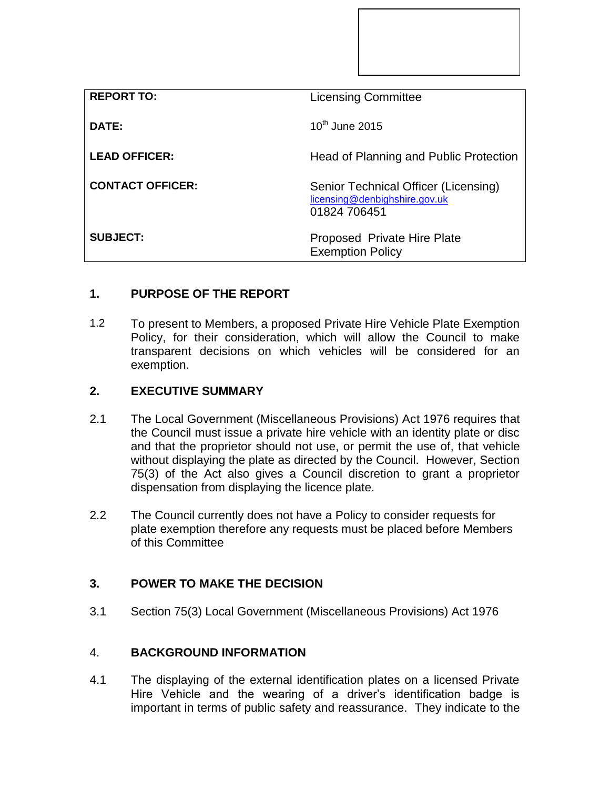| <b>REPORT TO:</b>       | <b>Licensing Committee</b>                                                            |
|-------------------------|---------------------------------------------------------------------------------------|
| DATE:                   | $10^{th}$ June 2015                                                                   |
| <b>LEAD OFFICER:</b>    | Head of Planning and Public Protection                                                |
| <b>CONTACT OFFICER:</b> | Senior Technical Officer (Licensing)<br>licensing@denbighshire.gov.uk<br>01824 706451 |
| <b>SUBJECT:</b>         | Proposed Private Hire Plate<br><b>Exemption Policy</b>                                |

# **1. PURPOSE OF THE REPORT**

1.2 To present to Members, a proposed Private Hire Vehicle Plate Exemption Policy, for their consideration, which will allow the Council to make transparent decisions on which vehicles will be considered for an exemption.

#### **2. EXECUTIVE SUMMARY**

- 2.1 The Local Government (Miscellaneous Provisions) Act 1976 requires that the Council must issue a private hire vehicle with an identity plate or disc and that the proprietor should not use, or permit the use of, that vehicle without displaying the plate as directed by the Council. However, Section 75(3) of the Act also gives a Council discretion to grant a proprietor dispensation from displaying the licence plate.
- 2.2 The Council currently does not have a Policy to consider requests for plate exemption therefore any requests must be placed before Members of this Committee

## **3. POWER TO MAKE THE DECISION**

3.1 Section 75(3) Local Government (Miscellaneous Provisions) Act 1976

## 4. **BACKGROUND INFORMATION**

4.1 The displaying of the external identification plates on a licensed Private Hire Vehicle and the wearing of a driver's identification badge is important in terms of public safety and reassurance. They indicate to the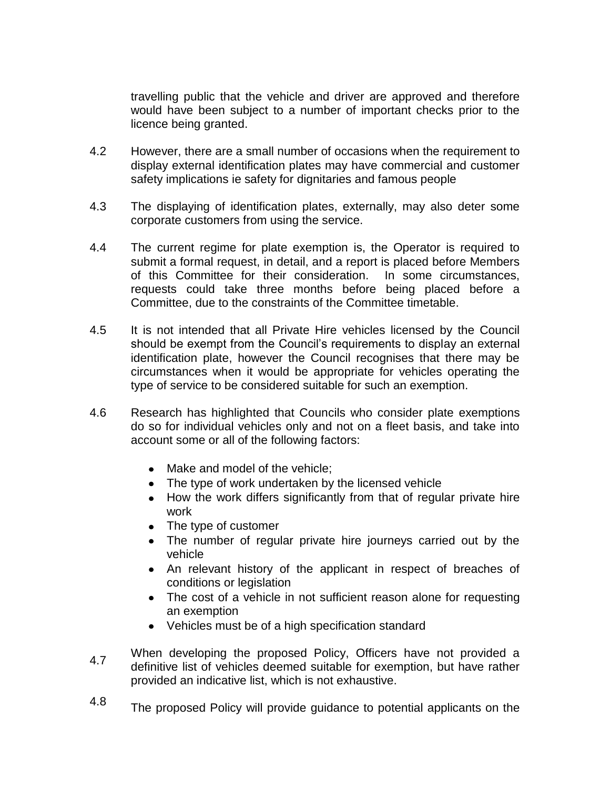travelling public that the vehicle and driver are approved and therefore would have been subject to a number of important checks prior to the licence being granted.

- 4.2 However, there are a small number of occasions when the requirement to display external identification plates may have commercial and customer safety implications ie safety for dignitaries and famous people
- 4.3 The displaying of identification plates, externally, may also deter some corporate customers from using the service.
- 4.4 The current regime for plate exemption is, the Operator is required to submit a formal request, in detail, and a report is placed before Members of this Committee for their consideration. In some circumstances, requests could take three months before being placed before a Committee, due to the constraints of the Committee timetable.
- 4.5 It is not intended that all Private Hire vehicles licensed by the Council should be exempt from the Council's requirements to display an external identification plate, however the Council recognises that there may be circumstances when it would be appropriate for vehicles operating the type of service to be considered suitable for such an exemption.
- 4.6 Research has highlighted that Councils who consider plate exemptions do so for individual vehicles only and not on a fleet basis, and take into account some or all of the following factors:
	- Make and model of the vehicle;
	- The type of work undertaken by the licensed vehicle
	- How the work differs significantly from that of regular private hire work
	- The type of customer
	- The number of regular private hire journeys carried out by the vehicle
	- An relevant history of the applicant in respect of breaches of conditions or legislation
	- The cost of a vehicle in not sufficient reason alone for requesting an exemption
	- Vehicles must be of a high specification standard
- 4.7 When developing the proposed Policy, Officers have not provided a definitive list of vehicles deemed suitable for exemption, but have rather provided an indicative list, which is not exhaustive.
- 4.8 The proposed Policy will provide guidance to potential applicants on the